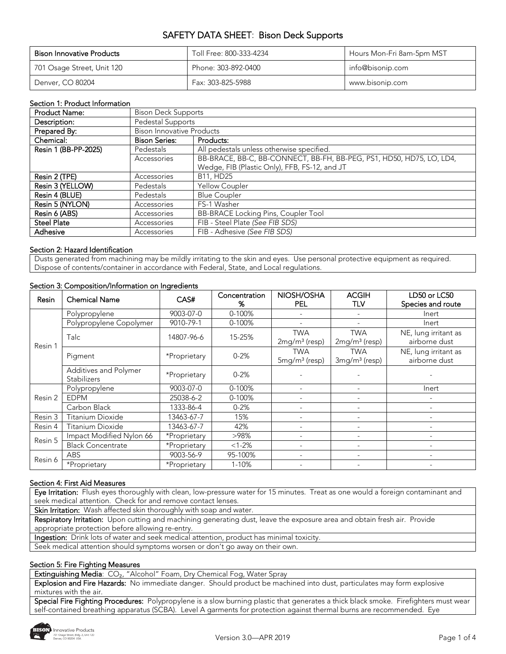| <b>Bison Innovative Products</b> | Toll Free: 800-333-4234 | Hours Mon-Fri 8am-5pm MST |
|----------------------------------|-------------------------|---------------------------|
| 701 Osage Street, Unit 120       | Phone: 303-892-0400     | info@bisonip.com          |
| Denver, CO 80204                 | Fax: 303-825-5988       | www.bisonip.com           |

#### Section 1: Product Information

| <b>Product Name:</b> |                                  | <b>Bison Deck Supports</b>                                           |  |  |  |
|----------------------|----------------------------------|----------------------------------------------------------------------|--|--|--|
| Description:         | Pedestal Supports                |                                                                      |  |  |  |
| Prepared By:         | <b>Bison Innovative Products</b> |                                                                      |  |  |  |
| Chemical:            | <b>Bison Series:</b>             | Products:                                                            |  |  |  |
| Resin 1 (BB-PP-2025) | Pedestals                        | All pedestals unless otherwise specified.                            |  |  |  |
|                      | Accessories                      | BB-BRACE, BB-C, BB-CONNECT, BB-FH, BB-PEG, PS1, HD50, HD75, LO, LD4, |  |  |  |
|                      |                                  | Wedge, FIB (Plastic Only), FFB, FS-12, and JT                        |  |  |  |
| Resin 2 (TPE)        | Accessories                      | B11, HD25                                                            |  |  |  |
| Resin 3 (YELLOW)     | <b>Pedestals</b>                 | Yellow Coupler                                                       |  |  |  |
| Resin 4 (BLUE)       | Pedestals                        | <b>Blue Coupler</b>                                                  |  |  |  |
| Resin 5 (NYLON)      | Accessories                      | FS-1 Washer                                                          |  |  |  |
| Resin 6 (ABS)        | Accessories                      | <b>BB-BRACE Locking Pins, Coupler Tool</b>                           |  |  |  |
| <b>Steel Plate</b>   | Accessories                      | FIB - Steel Plate (See FIB SDS)                                      |  |  |  |
| Adhesive             | Accessories                      | FIB - Adhesive (See FIB SDS)                                         |  |  |  |

#### Section 2: Hazard Identification

Dusts generated from machining may be mildly irritating to the skin and eyes. Use personal protective equipment as required. Dispose of contents/container in accordance with Federal, State, and Local regulations.

| Resin   | <b>Chemical Name</b>                        | CAS#         | Concentration<br>% | NIOSH/OSHA<br><b>PEL</b>                | <b>ACGIH</b><br>TLV           | LD50 or LC50<br>Species and route     |
|---------|---------------------------------------------|--------------|--------------------|-----------------------------------------|-------------------------------|---------------------------------------|
|         | Polypropylene                               | 9003-07-0    | 0-100%             |                                         |                               | Inert                                 |
|         | Polypropylene Copolymer                     | 9010-79-1    | 0-100%             |                                         |                               | Inert                                 |
| Resin 1 | Talc                                        | 14807-96-6   | 15-25%             | <b>TWA</b><br>$2mg/m3$ (resp)           | <b>TWA</b><br>$2mg/m3$ (resp) | NE, lung irritant as<br>airborne dust |
|         | Pigment                                     | *Proprietary | $0 - 2%$           | <b>TWA</b><br>5mg/m <sup>3</sup> (resp) | <b>TWA</b><br>$3mg/m3$ (resp) | NE, lung irritant as<br>airborne dust |
|         | Additives and Polymer<br><b>Stabilizers</b> | *Proprietary | $0 - 2%$           |                                         |                               |                                       |
|         | Polypropylene                               | 9003-07-0    | 0-100%             |                                         |                               | Inert                                 |
| Resin 2 | <b>EDPM</b>                                 | 25038-6-2    | 0-100%             |                                         |                               |                                       |
|         | Carbon Black                                | 1333-86-4    | $0 - 2%$           |                                         |                               |                                       |
| Resin 3 | Titanium Dioxide                            | 13463-67-7   | 15%                | $\overline{\phantom{a}}$                |                               |                                       |
| Resin 4 | Titanium Dioxide                            | 13463-67-7   | 42%                | $\overline{\phantom{a}}$                |                               |                                       |
|         | Impact Modified Nylon 66                    | *Proprietary | >98%               | $\overline{\phantom{a}}$                |                               |                                       |
| Resin 5 | <b>Black Concentrate</b>                    | *Proprietary | $<1-2%$            |                                         |                               |                                       |
|         | <b>ABS</b>                                  | 9003-56-9    | 95-100%            | $\overline{\phantom{a}}$                |                               |                                       |
| Resin 6 | *Proprietary                                | *Proprietary | 1-10%              | $\overline{\phantom{a}}$                |                               |                                       |

#### Section 3: Composition/Information on Ingredients

#### Section 4: First Aid Measures

Eye Irritation: Flush eyes thoroughly with clean, low-pressure water for 15 minutes. Treat as one would a foreign contaminant and seek medical attention. Check for and remove contact lenses.

Skin Irritation: Wash affected skin thoroughly with soap and water.

Respiratory Irritation: Upon cutting and machining generating dust, leave the exposure area and obtain fresh air. Provide appropriate protection before allowing re-entry.

Ingestion: Drink lots of water and seek medical attention, product has minimal toxicity.

Seek medical attention should symptoms worsen or don't go away on their own.

#### Section 5: Fire Fighting Measures

Extinguishing Media: CO<sub>2</sub>, "Alcohol" Foam, Dry Chemical Fog, Water Spray

Explosion and Fire Hazards: No immediate danger. Should product be machined into dust, particulates may form explosive mixtures with the air.

Special Fire Fighting Procedures: Polypropylene is a slow burning plastic that generates a thick black smoke. Firefighters must wear self-contained breathing apparatus (SCBA). Level A garments for protection against thermal burns are recommended. Eye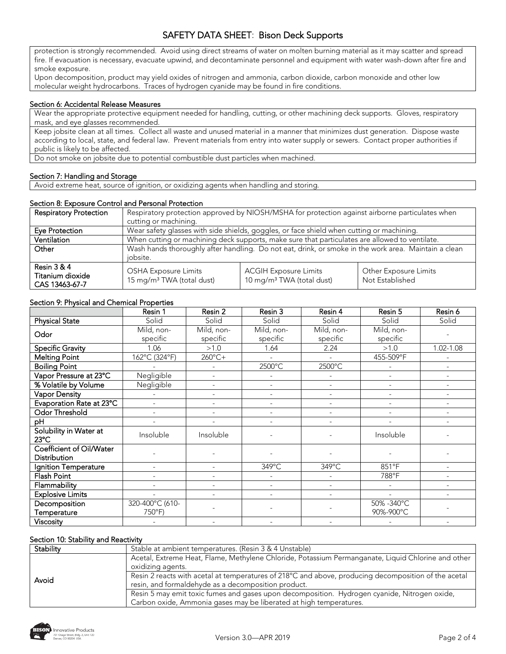protection is strongly recommended. Avoid using direct streams of water on molten burning material as it may scatter and spread fire. If evacuation is necessary, evacuate upwind, and decontaminate personnel and equipment with water wash-down after fire and smoke exposure.

Upon decomposition, product may yield oxides of nitrogen and ammonia, carbon dioxide, carbon monoxide and other low molecular weight hydrocarbons. Traces of hydrogen cyanide may be found in fire conditions.

#### Section 6: Accidental Release Measures

Wear the appropriate protective equipment needed for handling, cutting, or other machining deck supports. Gloves, respiratory mask, and eye glasses recommended.

Keep jobsite clean at all times. Collect all waste and unused material in a manner that minimizes dust generation. Dispose waste according to local, state, and federal law. Prevent materials from entry into water supply or sewers. Contact proper authorities if public is likely to be affected.

Do not smoke on jobsite due to potential combustible dust particles when machined.

#### Section 7: Handling and Storage

Avoid extreme heat, source of ignition, or oxidizing agents when handling and storing.

#### Section 8: Exposure Control and Personal Protection

| <b>Respiratory Protection</b>                       | Respiratory protection approved by NIOSH/MSHA for protection against airborne particulates when                  |                                                                                           |                                          |  |
|-----------------------------------------------------|------------------------------------------------------------------------------------------------------------------|-------------------------------------------------------------------------------------------|------------------------------------------|--|
|                                                     | cutting or machining.                                                                                            |                                                                                           |                                          |  |
| Eye Protection                                      |                                                                                                                  | Wear safety glasses with side shields, goggles, or face shield when cutting or machining. |                                          |  |
| Ventilation                                         | When cutting or machining deck supports, make sure that particulates are allowed to ventilate.                   |                                                                                           |                                          |  |
| Other                                               | Wash hands thoroughly after handling. Do not eat, drink, or smoke in the work area. Maintain a clean<br>iobsite. |                                                                                           |                                          |  |
| Resin $3 & 4$<br>Titanium dioxide<br>CAS 13463-67-7 | <b>OSHA Exposure Limits</b><br>15 mg/m <sup>3</sup> TWA (total dust)                                             | <b>ACGIH Exposure Limits</b><br>10 mg/m <sup>3</sup> TWA (total dust)                     | Other Exposure Limits<br>Not Established |  |

## Section 9: Physical and Chemical Properties

|                                                 | Resin 1                  | Resin 2        | Resin 3                      | Resin 4                  | Resin 5                  | Resin 6   |
|-------------------------------------------------|--------------------------|----------------|------------------------------|--------------------------|--------------------------|-----------|
| <b>Physical State</b>                           | Solid                    | Solid          | Solid                        | Solid                    | Solid                    | Solid     |
| Odor                                            | Mild, non-               | Mild, non-     | Mild, non-                   | Mild, non-               | Mild, non-               |           |
|                                                 | specific                 | specific       | specific                     | specific                 | specific                 |           |
| <b>Specific Gravity</b>                         | 1.06                     | >1.0           | 1.64                         | 2.24                     | >1.0                     | 1.02-1.08 |
| <b>Melting Point</b>                            | 162°C (324°F)            | 260°C+         | $\blacksquare$               | $\mathcal{L}$            | 455-509°F                |           |
| <b>Boiling Point</b>                            |                          |                | 2500°C                       | 2500°C                   |                          |           |
| Vapor Pressure at 23°C                          | Negligible               | $\overline{a}$ | $\overline{\phantom{a}}$     |                          | $\overline{\phantom{a}}$ |           |
| % Volatile by Volume                            | Negligible               |                | $\overline{\phantom{a}}$     | $\overline{\phantom{a}}$ | $\overline{\phantom{a}}$ |           |
| Vapor Density                                   |                          |                | $\overline{\phantom{a}}$     | $\overline{\phantom{a}}$ |                          |           |
| Evaporation Rate at 23°C                        |                          |                | $\overline{\phantom{a}}$     |                          |                          |           |
| Odor Threshold                                  |                          |                | $\qquad \qquad \blacksquare$ |                          |                          |           |
| рH                                              |                          |                | $\qquad \qquad \blacksquare$ |                          |                          |           |
| Solubility in Water at<br>$23^{\circ}$ C        | Insoluble                | Insoluble      |                              |                          | Insoluble                |           |
| Coefficient of Oil/Water<br><b>Distribution</b> |                          |                |                              |                          |                          |           |
| Ignition Temperature                            | $\overline{\phantom{a}}$ |                | 349°C                        | 349°C                    | 851°F                    |           |
| Flash Point                                     |                          |                | $\overline{a}$               |                          | 788°F                    |           |
| Flammability                                    |                          |                | $\overline{\phantom{a}}$     | $\overline{\phantom{a}}$ |                          |           |
| <b>Explosive Limits</b>                         |                          |                | $\overline{\phantom{m}}$     |                          |                          |           |
| Decomposition                                   | 320-400°C (610-          |                |                              |                          | 50%-340°C                |           |
| Temperature                                     | 750°F)                   |                |                              |                          | 90%-900°C                |           |
| Viscosity                                       |                          |                |                              |                          |                          |           |

#### Section 10: Stability and Reactivity

| Stability | Stable at ambient temperatures. (Resin 3 & 4 Unstable)                                                                                                             |
|-----------|--------------------------------------------------------------------------------------------------------------------------------------------------------------------|
|           | Acetal, Extreme Heat, Flame, Methylene Chloride, Potassium Permanganate, Liquid Chlorine and other<br>oxidizing agents.                                            |
| Avoid     | Resin 2 reacts with acetal at temperatures of 218°C and above, producing decomposition of the acetal<br>resin, and formaldehyde as a decomposition product.        |
|           | Resin 5 may emit toxic fumes and gases upon decomposition. Hydrogen cyanide, Nitrogen oxide,<br>Carbon oxide, Ammonia gases may be liberated at high temperatures. |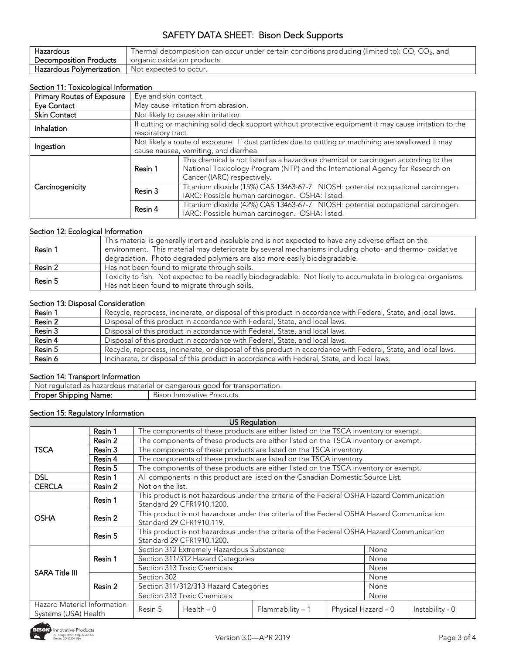| Hazardous                                         | Thermal decomposition can occur under certain conditions producing (limited to): $CO$ , $CO2$ , and |
|---------------------------------------------------|-----------------------------------------------------------------------------------------------------|
| <b>Decomposition Products</b>                     | organic oxidation products.                                                                         |
| Hazardous Polymerization   Not expected to occur. |                                                                                                     |

## Section 11: Toxicological Information

| Primary Routes of Exposure | Eye and skin contact.                                                                                                        |                                                                                                                                                                                                     |  |  |  |
|----------------------------|------------------------------------------------------------------------------------------------------------------------------|-----------------------------------------------------------------------------------------------------------------------------------------------------------------------------------------------------|--|--|--|
| Eye Contact                |                                                                                                                              | May cause irritation from abrasion.                                                                                                                                                                 |  |  |  |
| <b>Skin Contact</b>        |                                                                                                                              | Not likely to cause skin irritation.                                                                                                                                                                |  |  |  |
| Inhalation                 | If cutting or machining solid deck support without protective equipment it may cause irritation to the<br>respiratory tract. |                                                                                                                                                                                                     |  |  |  |
| Ingestion                  |                                                                                                                              | Not likely a route of exposure. If dust particles due to cutting or machining are swallowed it may<br>cause nausea, vomiting, and diarrhea.                                                         |  |  |  |
|                            | Resin 1                                                                                                                      | This chemical is not listed as a hazardous chemical or carcinogen according to the<br>National Toxicology Program (NTP) and the International Agency for Research on<br>Cancer (IARC) respectively. |  |  |  |
| Carcinogenicity            | Resin 3                                                                                                                      | Titanium dioxide (15%) CAS 13463-67-7. NIOSH: potential occupational carcinogen.<br>IARC: Possible human carcinogen. OSHA: listed.                                                                  |  |  |  |
|                            | Resin 4                                                                                                                      | Titanium dioxide (42%) CAS 13463-67-7. NIOSH: potential occupational carcinogen.<br>IARC: Possible human carcinogen. OSHA: listed.                                                                  |  |  |  |

# Section 12: Ecological Information

| Resin 1 | This material is generally inert and insoluble and is not expected to have any adverse effect on the          |
|---------|---------------------------------------------------------------------------------------------------------------|
|         | environment. This material may deteriorate by several mechanisms including photo- and thermo- oxidative       |
|         | degradation. Photo degraded polymers are also more easily biodegradable.                                      |
| Resin 2 | Has not been found to migrate through soils.                                                                  |
| Resin 5 | Toxicity to fish. Not expected to be readily biodegradable. Not likely to accumulate in biological organisms. |
|         | Has not been found to migrate through soils.                                                                  |

#### Section 13: Disposal Consideration

| Resin 1 | Recycle, reprocess, incinerate, or disposal of this product in accordance with Federal, State, and local laws. |
|---------|----------------------------------------------------------------------------------------------------------------|
| Resin 2 | Disposal of this product in accordance with Federal, State, and local laws.                                    |
| Resin 3 | Disposal of this product in accordance with Federal, State, and local laws.                                    |
| Resin 4 | Disposal of this product in accordance with Federal, State, and local laws.                                    |
| Resin 5 | Recycle, reprocess, incinerate, or disposal of this product in accordance with Federal, State, and local laws. |
| Resin 6 | Incinerate, or disposal of this product in accordance with Federal, State, and local laws.                     |

#### Section 14: Transport Information

| . Not<br>transportation.<br>; material<br>300 <sub>2</sub><br>tor<br>$r \cap \Omega$<br>dangerous<br>nazardous<br>$\sim$<br>reaulated<br>i i di<br>- 62 |                                               |  |  |  |
|---------------------------------------------------------------------------------------------------------------------------------------------------------|-----------------------------------------------|--|--|--|
| Proper<br>Name.<br><b>Shippinc</b>                                                                                                                      | <b>Products</b><br><b>Bison</b><br>Innovative |  |  |  |

# Section 15: Regulatory Information

|                       |                                                                                                                            |                                           |                                                                                                                        | US Regulation                                                                             |                 |      |  |  |  |
|-----------------------|----------------------------------------------------------------------------------------------------------------------------|-------------------------------------------|------------------------------------------------------------------------------------------------------------------------|-------------------------------------------------------------------------------------------|-----------------|------|--|--|--|
|                       | Resin 1                                                                                                                    |                                           | The components of these products are either listed on the TSCA inventory or exempt.                                    |                                                                                           |                 |      |  |  |  |
| <b>TSCA</b>           | Resin 2                                                                                                                    |                                           |                                                                                                                        | The components of these products are either listed on the TSCA inventory or exempt.       |                 |      |  |  |  |
|                       | Resin 3                                                                                                                    |                                           |                                                                                                                        | The components of these products are listed on the TSCA inventory.                        |                 |      |  |  |  |
|                       | Resin 4                                                                                                                    |                                           | The components of these products are listed on the TSCA inventory.                                                     |                                                                                           |                 |      |  |  |  |
|                       | Resin 5                                                                                                                    |                                           | The components of these products are either listed on the TSCA inventory or exempt.                                    |                                                                                           |                 |      |  |  |  |
| <b>DSL</b>            | Resin 1                                                                                                                    |                                           |                                                                                                                        | All components in this product are listed on the Canadian Domestic Source List.           |                 |      |  |  |  |
| <b>CERCLA</b>         | Resin 2                                                                                                                    | Not on the list.                          |                                                                                                                        |                                                                                           |                 |      |  |  |  |
|                       | Resin 1                                                                                                                    |                                           | Standard 29 CFR1910.1200.                                                                                              | This product is not hazardous under the criteria of the Federal OSHA Hazard Communication |                 |      |  |  |  |
| <b>OSHA</b>           | Resin 2                                                                                                                    |                                           | This product is not hazardous under the criteria of the Federal OSHA Hazard Communication<br>Standard 29 CFR1910.119.  |                                                                                           |                 |      |  |  |  |
|                       | Resin 5                                                                                                                    |                                           | This product is not hazardous under the criteria of the Federal OSHA Hazard Communication<br>Standard 29 CFR1910.1200. |                                                                                           |                 |      |  |  |  |
|                       |                                                                                                                            | Section 312 Extremely Hazardous Substance |                                                                                                                        |                                                                                           |                 | None |  |  |  |
|                       | Resin 1                                                                                                                    |                                           | Section 311/312 Hazard Categories                                                                                      |                                                                                           |                 | None |  |  |  |
| <b>SARA Title III</b> |                                                                                                                            | Section 313 Toxic Chemicals               |                                                                                                                        |                                                                                           |                 | None |  |  |  |
|                       |                                                                                                                            | Section 302                               |                                                                                                                        | None                                                                                      |                 |      |  |  |  |
|                       | Resin 2                                                                                                                    |                                           | Section 311/312/313 Hazard Categories                                                                                  |                                                                                           |                 | None |  |  |  |
|                       |                                                                                                                            | Section 313 Toxic Chemicals               |                                                                                                                        |                                                                                           |                 | None |  |  |  |
|                       | Hazard Material Information<br>Health $-0$<br>Resin 5<br>$Flammability - 1$<br>Physical Hazard - 0<br>Systems (USA) Health |                                           |                                                                                                                        |                                                                                           | Instability - 0 |      |  |  |  |